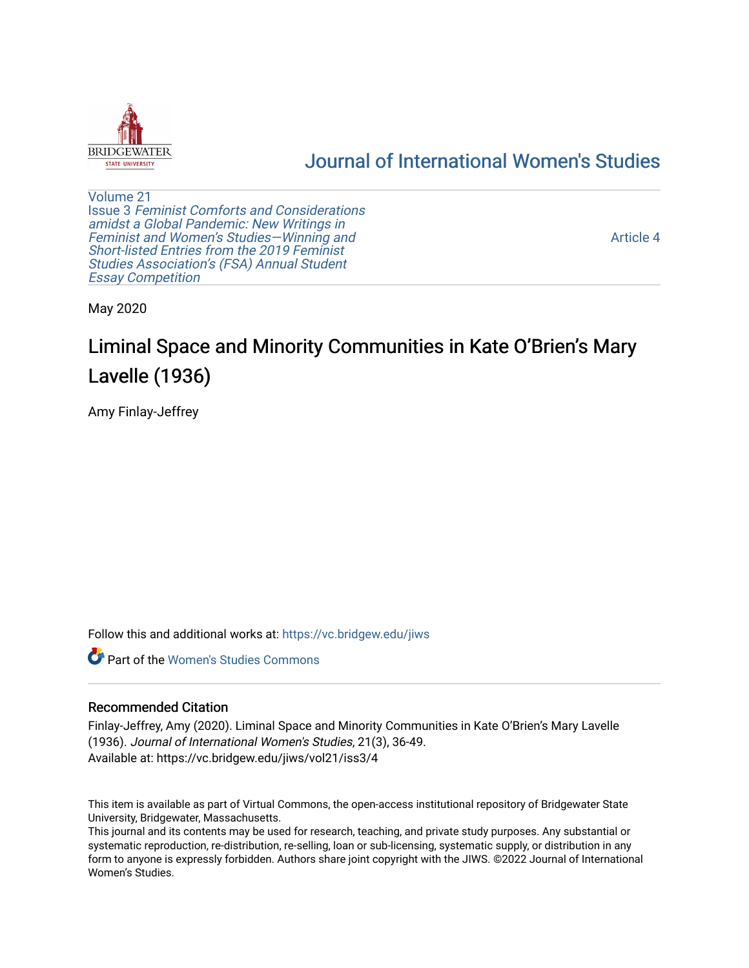

# [Journal of International Women's Studies](https://vc.bridgew.edu/jiws)

[Volume 21](https://vc.bridgew.edu/jiws/vol21) Issue 3 [Feminist Comforts and Considerations](https://vc.bridgew.edu/jiws/vol21/iss3) [amidst a Global Pandemic: New Writings in](https://vc.bridgew.edu/jiws/vol21/iss3)  [Feminist and Women's Studies—Winning and](https://vc.bridgew.edu/jiws/vol21/iss3) [Short-listed Entries from the 2019 Feminist](https://vc.bridgew.edu/jiws/vol21/iss3) [Studies Association's \(FSA\) Annual Student](https://vc.bridgew.edu/jiws/vol21/iss3) [Essay Competition](https://vc.bridgew.edu/jiws/vol21/iss3)

[Article 4](https://vc.bridgew.edu/jiws/vol21/iss3/4) 

May 2020

# Liminal Space and Minority Communities in Kate O'Brien's Mary Lavelle (1936)

Amy Finlay-Jeffrey

Follow this and additional works at: [https://vc.bridgew.edu/jiws](https://vc.bridgew.edu/jiws?utm_source=vc.bridgew.edu%2Fjiws%2Fvol21%2Fiss3%2F4&utm_medium=PDF&utm_campaign=PDFCoverPages)

**Part of the Women's Studies Commons** 

#### Recommended Citation

Finlay-Jeffrey, Amy (2020). Liminal Space and Minority Communities in Kate O'Brien's Mary Lavelle (1936). Journal of International Women's Studies, 21(3), 36-49. Available at: https://vc.bridgew.edu/jiws/vol21/iss3/4

This item is available as part of Virtual Commons, the open-access institutional repository of Bridgewater State University, Bridgewater, Massachusetts.

This journal and its contents may be used for research, teaching, and private study purposes. Any substantial or systematic reproduction, re-distribution, re-selling, loan or sub-licensing, systematic supply, or distribution in any form to anyone is expressly forbidden. Authors share joint copyright with the JIWS. ©2022 Journal of International Women's Studies.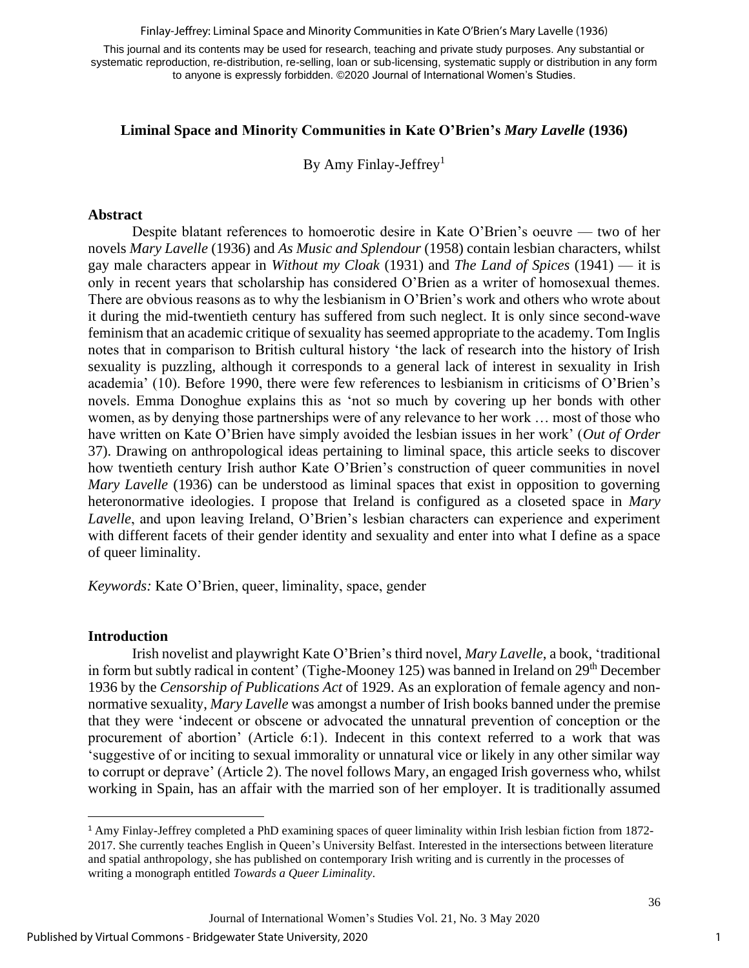Finlay-Jeffrey: Liminal Space and Minority Communities in Kate O'Brien's Mary Lavelle (1936)

This journal and its contents may be used for research, teaching and private study purposes. Any substantial or systematic reproduction, re-distribution, re-selling, loan or sub-licensing, systematic supply or distribution in any form to anyone is expressly forbidden. ©2020 Journal of International Women's Studies.

### **Liminal Space and Minority Communities in Kate O'Brien's** *Mary Lavelle* **(1936)**

By Amy Finlay-Jeffrey<sup>1</sup>

#### **Abstract**

Despite blatant references to homoerotic desire in Kate O'Brien's oeuvre — two of her novels *Mary Lavelle* (1936) and *As Music and Splendour* (1958) contain lesbian characters, whilst gay male characters appear in *Without my Cloak* (1931) and *The Land of Spices* (1941) — it is only in recent years that scholarship has considered O'Brien as a writer of homosexual themes. There are obvious reasons as to why the lesbianism in O'Brien's work and others who wrote about it during the mid-twentieth century has suffered from such neglect. It is only since second-wave feminism that an academic critique of sexuality has seemed appropriate to the academy. Tom Inglis notes that in comparison to British cultural history 'the lack of research into the history of Irish sexuality is puzzling, although it corresponds to a general lack of interest in sexuality in Irish academia' (10). Before 1990, there were few references to lesbianism in criticisms of O'Brien's novels. Emma Donoghue explains this as 'not so much by covering up her bonds with other women, as by denying those partnerships were of any relevance to her work … most of those who have written on Kate O'Brien have simply avoided the lesbian issues in her work' (*Out of Order* 37). Drawing on anthropological ideas pertaining to liminal space, this article seeks to discover how twentieth century Irish author Kate O'Brien's construction of queer communities in novel *Mary Lavelle* (1936) can be understood as liminal spaces that exist in opposition to governing heteronormative ideologies. I propose that Ireland is configured as a closeted space in *Mary Lavelle*, and upon leaving Ireland, O'Brien's lesbian characters can experience and experiment with different facets of their gender identity and sexuality and enter into what I define as a space of queer liminality.

*Keywords:* Kate O'Brien, queer, liminality, space, gender

#### **Introduction**

Irish novelist and playwright Kate O'Brien's third novel, *Mary Lavelle*, a book, 'traditional in form but subtly radical in content' (Tighe-Mooney 125) was banned in Ireland on 29<sup>th</sup> December 1936 by the *Censorship of Publications Act* of 1929. As an exploration of female agency and nonnormative sexuality, *Mary Lavelle* was amongst a number of Irish books banned under the premise that they were 'indecent or obscene or advocated the unnatural prevention of conception or the procurement of abortion' (Article 6:1). Indecent in this context referred to a work that was 'suggestive of or inciting to sexual immorality or unnatural vice or likely in any other similar way to corrupt or deprave' (Article 2). The novel follows Mary, an engaged Irish governess who, whilst working in Spain, has an affair with the married son of her employer. It is traditionally assumed

<sup>1</sup> Amy Finlay-Jeffrey completed a PhD examining spaces of queer liminality within Irish lesbian fiction from 1872- 2017. She currently teaches English in Queen's University Belfast. Interested in the intersections between literature and spatial anthropology, she has published on contemporary Irish writing and is currently in the processes of writing a monograph entitled *Towards a Queer Liminality*.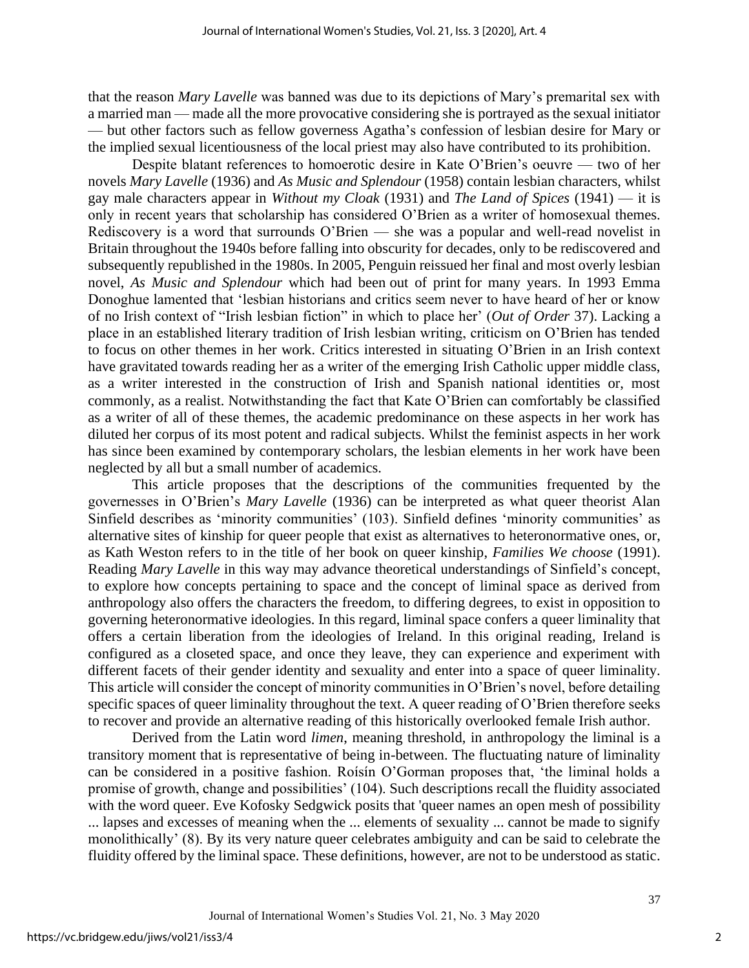that the reason *Mary Lavelle* was banned was due to its depictions of Mary's premarital sex with a married man — made all the more provocative considering she is portrayed as the sexual initiator — but other factors such as fellow governess Agatha's confession of lesbian desire for Mary or the implied sexual licentiousness of the local priest may also have contributed to its prohibition.

Despite blatant references to homoerotic desire in Kate O'Brien's oeuvre — two of her novels *Mary Lavelle* (1936) and *As Music and Splendour* (1958) contain lesbian characters, whilst gay male characters appear in *Without my Cloak* (1931) and *The Land of Spices* (1941) — it is only in recent years that scholarship has considered O'Brien as a writer of homosexual themes. Rediscovery is a word that surrounds O'Brien — she was a popular and well-read novelist in Britain throughout the 1940s before falling into obscurity for decades, only to be rediscovered and subsequently republished in the 1980s. In 2005, Penguin reissued her final and most overly lesbian novel, *As Music and Splendour* which had been out of print for many years. In 1993 Emma Donoghue lamented that 'lesbian historians and critics seem never to have heard of her or know of no Irish context of "Irish lesbian fiction" in which to place her' (*Out of Order* 37). Lacking a place in an established literary tradition of Irish lesbian writing, criticism on O'Brien has tended to focus on other themes in her work. Critics interested in situating O'Brien in an Irish context have gravitated towards reading her as a writer of the emerging Irish Catholic upper middle class, as a writer interested in the construction of Irish and Spanish national identities or, most commonly, as a realist. Notwithstanding the fact that Kate O'Brien can comfortably be classified as a writer of all of these themes, the academic predominance on these aspects in her work has diluted her corpus of its most potent and radical subjects. Whilst the feminist aspects in her work has since been examined by contemporary scholars, the lesbian elements in her work have been neglected by all but a small number of academics.

This article proposes that the descriptions of the communities frequented by the governesses in O'Brien's *Mary Lavelle* (1936) can be interpreted as what queer theorist Alan Sinfield describes as 'minority communities' (103). Sinfield defines 'minority communities' as alternative sites of kinship for queer people that exist as alternatives to heteronormative ones, or, as Kath Weston refers to in the title of her book on queer kinship, *Families We choose* (1991). Reading *Mary Lavelle* in this way may advance theoretical understandings of Sinfield's concept, to explore how concepts pertaining to space and the concept of liminal space as derived from anthropology also offers the characters the freedom, to differing degrees, to exist in opposition to governing heteronormative ideologies. In this regard, liminal space confers a queer liminality that offers a certain liberation from the ideologies of Ireland. In this original reading, Ireland is configured as a closeted space, and once they leave, they can experience and experiment with different facets of their gender identity and sexuality and enter into a space of queer liminality. This article will consider the concept of minority communities in O'Brien's novel, before detailing specific spaces of queer liminality throughout the text. A queer reading of O'Brien therefore seeks to recover and provide an alternative reading of this historically overlooked female Irish author.

Derived from the Latin word *limen*, meaning threshold, in anthropology the liminal is a transitory moment that is representative of being in-between. The fluctuating nature of liminality can be considered in a positive fashion. Roísín O'Gorman proposes that, 'the liminal holds a promise of growth, change and possibilities' (104). Such descriptions recall the fluidity associated with the word queer. Eve Kofosky Sedgwick posits that 'queer names an open mesh of possibility ... lapses and excesses of meaning when the ... elements of sexuality ... cannot be made to signify monolithically' (8). By its very nature queer celebrates ambiguity and can be said to celebrate the fluidity offered by the liminal space. These definitions, however, are not to be understood as static.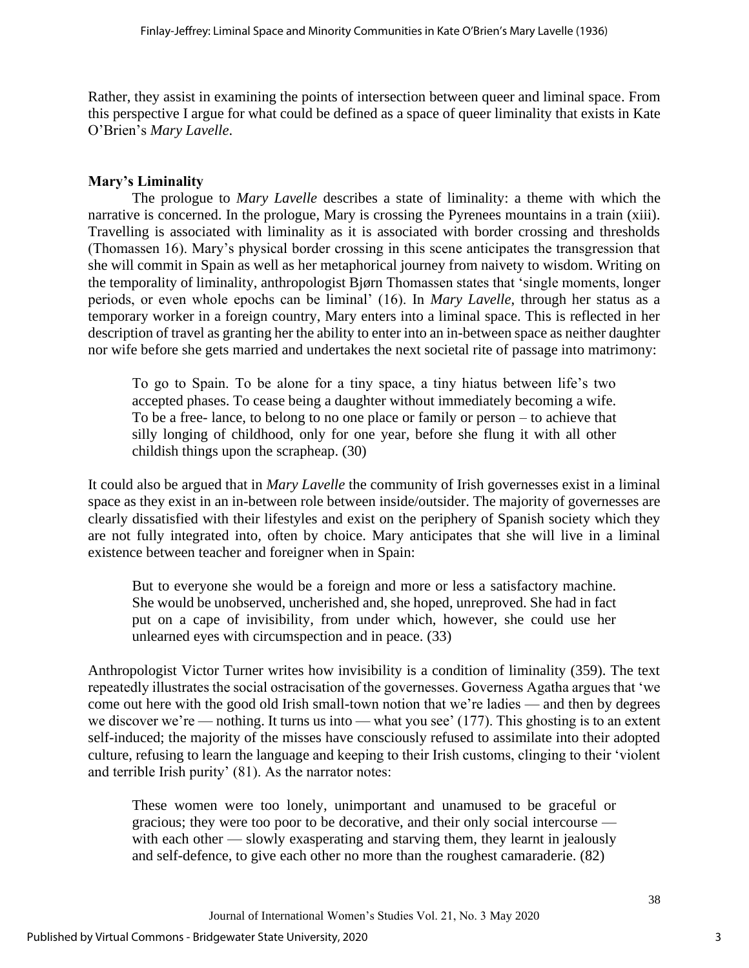Rather, they assist in examining the points of intersection between queer and liminal space. From this perspective I argue for what could be defined as a space of queer liminality that exists in Kate O'Brien's *Mary Lavelle*.

# **Mary's Liminality**

The prologue to *Mary Lavelle* describes a state of liminality: a theme with which the narrative is concerned. In the prologue, Mary is crossing the Pyrenees mountains in a train (xiii). Travelling is associated with liminality as it is associated with border crossing and thresholds (Thomassen 16). Mary's physical border crossing in this scene anticipates the transgression that she will commit in Spain as well as her metaphorical journey from naivety to wisdom. Writing on the temporality of liminality, anthropologist Bjørn Thomassen states that 'single moments, longer periods, or even whole epochs can be liminal' (16). In *Mary Lavelle*, through her status as a temporary worker in a foreign country, Mary enters into a liminal space. This is reflected in her description of travel as granting her the ability to enter into an in-between space as neither daughter nor wife before she gets married and undertakes the next societal rite of passage into matrimony:

To go to Spain. To be alone for a tiny space, a tiny hiatus between life's two accepted phases. To cease being a daughter without immediately becoming a wife. To be a free- lance, to belong to no one place or family or person – to achieve that silly longing of childhood, only for one year, before she flung it with all other childish things upon the scrapheap. (30)

It could also be argued that in *Mary Lavelle* the community of Irish governesses exist in a liminal space as they exist in an in-between role between inside/outsider. The majority of governesses are clearly dissatisfied with their lifestyles and exist on the periphery of Spanish society which they are not fully integrated into, often by choice. Mary anticipates that she will live in a liminal existence between teacher and foreigner when in Spain:

But to everyone she would be a foreign and more or less a satisfactory machine. She would be unobserved, uncherished and, she hoped, unreproved. She had in fact put on a cape of invisibility, from under which, however, she could use her unlearned eyes with circumspection and in peace. (33)

Anthropologist Victor Turner writes how invisibility is a condition of liminality (359). The text repeatedly illustrates the social ostracisation of the governesses. Governess Agatha argues that 'we come out here with the good old Irish small-town notion that we're ladies — and then by degrees we discover we're — nothing. It turns us into — what you see' (177). This ghosting is to an extent self-induced; the majority of the misses have consciously refused to assimilate into their adopted culture, refusing to learn the language and keeping to their Irish customs, clinging to their 'violent and terrible Irish purity' (81). As the narrator notes:

These women were too lonely, unimportant and unamused to be graceful or gracious; they were too poor to be decorative, and their only social intercourse with each other — slowly exasperating and starving them, they learnt in jealously and self-defence, to give each other no more than the roughest camaraderie. (82)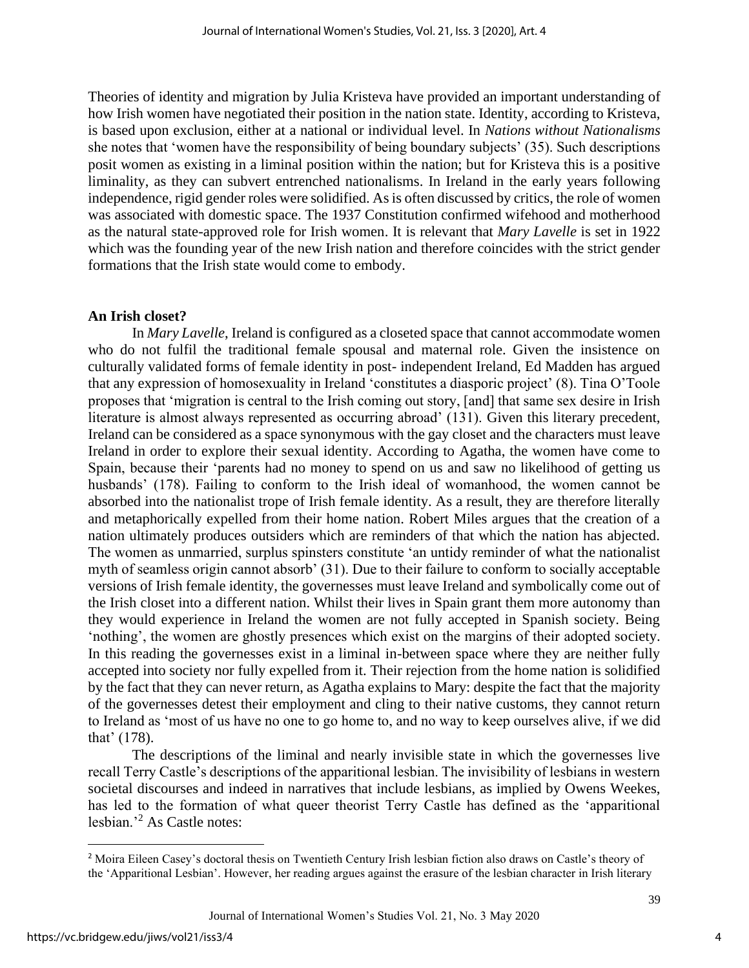Theories of identity and migration by Julia Kristeva have provided an important understanding of how Irish women have negotiated their position in the nation state. Identity, according to Kristeva, is based upon exclusion, either at a national or individual level. In *Nations without Nationalisms* she notes that 'women have the responsibility of being boundary subjects' (35). Such descriptions posit women as existing in a liminal position within the nation; but for Kristeva this is a positive liminality, as they can subvert entrenched nationalisms. In Ireland in the early years following independence, rigid gender roles were solidified. As is often discussed by critics, the role of women was associated with domestic space. The 1937 Constitution confirmed wifehood and motherhood as the natural state-approved role for Irish women. It is relevant that *Mary Lavelle* is set in 1922 which was the founding year of the new Irish nation and therefore coincides with the strict gender formations that the Irish state would come to embody.

#### **An Irish closet?**

In *Mary Lavelle*, Ireland is configured as a closeted space that cannot accommodate women who do not fulfil the traditional female spousal and maternal role. Given the insistence on culturally validated forms of female identity in post- independent Ireland, Ed Madden has argued that any expression of homosexuality in Ireland 'constitutes a diasporic project' (8). Tina O'Toole proposes that 'migration is central to the Irish coming out story, [and] that same sex desire in Irish literature is almost always represented as occurring abroad' (131). Given this literary precedent, Ireland can be considered as a space synonymous with the gay closet and the characters must leave Ireland in order to explore their sexual identity. According to Agatha, the women have come to Spain, because their 'parents had no money to spend on us and saw no likelihood of getting us husbands' (178). Failing to conform to the Irish ideal of womanhood, the women cannot be absorbed into the nationalist trope of Irish female identity. As a result, they are therefore literally and metaphorically expelled from their home nation. Robert Miles argues that the creation of a nation ultimately produces outsiders which are reminders of that which the nation has abjected. The women as unmarried, surplus spinsters constitute 'an untidy reminder of what the nationalist myth of seamless origin cannot absorb' (31). Due to their failure to conform to socially acceptable versions of Irish female identity, the governesses must leave Ireland and symbolically come out of the Irish closet into a different nation. Whilst their lives in Spain grant them more autonomy than they would experience in Ireland the women are not fully accepted in Spanish society. Being 'nothing', the women are ghostly presences which exist on the margins of their adopted society. In this reading the governesses exist in a liminal in-between space where they are neither fully accepted into society nor fully expelled from it. Their rejection from the home nation is solidified by the fact that they can never return, as Agatha explains to Mary: despite the fact that the majority of the governesses detest their employment and cling to their native customs, they cannot return to Ireland as 'most of us have no one to go home to, and no way to keep ourselves alive, if we did that' (178).

The descriptions of the liminal and nearly invisible state in which the governesses live recall Terry Castle's descriptions of the apparitional lesbian. The invisibility of lesbians in western societal discourses and indeed in narratives that include lesbians, as implied by Owens Weekes, has led to the formation of what queer theorist Terry Castle has defined as the 'apparitional lesbian.'<sup>2</sup> As Castle notes:

4

<sup>2</sup> Moira Eileen Casey's doctoral thesis on Twentieth Century Irish lesbian fiction also draws on Castle's theory of the 'Apparitional Lesbian'. However, her reading argues against the erasure of the lesbian character in Irish literary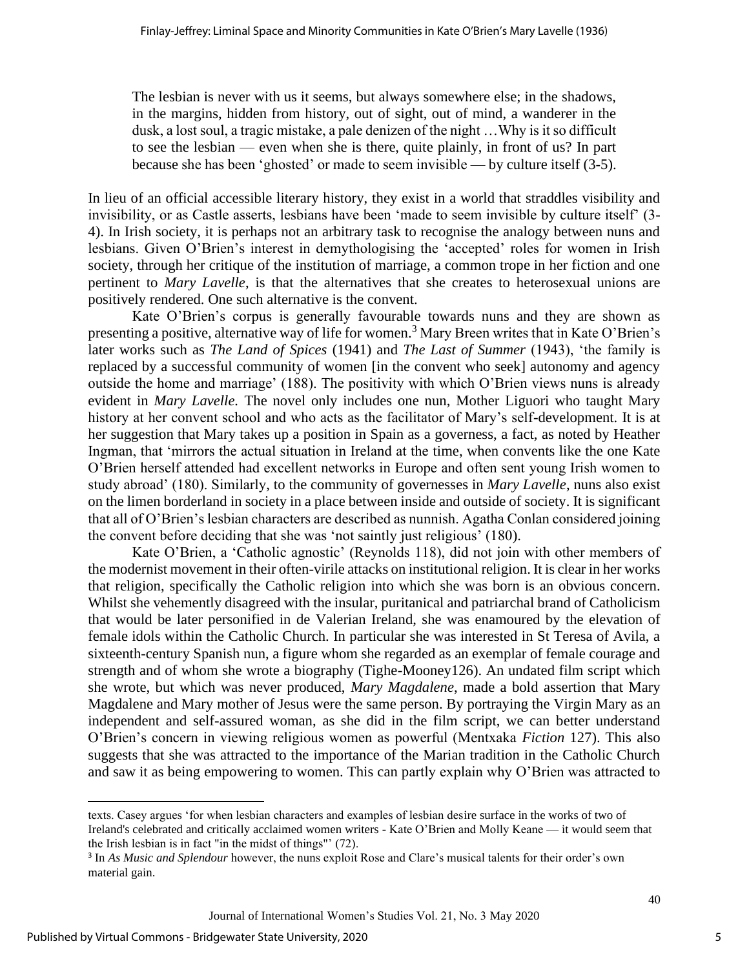The lesbian is never with us it seems, but always somewhere else; in the shadows, in the margins, hidden from history, out of sight, out of mind, a wanderer in the dusk, a lost soul, a tragic mistake, a pale denizen of the night …Why is it so difficult to see the lesbian — even when she is there, quite plainly, in front of us? In part because she has been 'ghosted' or made to seem invisible — by culture itself (3-5).

In lieu of an official accessible literary history, they exist in a world that straddles visibility and invisibility, or as Castle asserts, lesbians have been 'made to seem invisible by culture itself' (3- 4). In Irish society, it is perhaps not an arbitrary task to recognise the analogy between nuns and lesbians. Given O'Brien's interest in demythologising the 'accepted' roles for women in Irish society, through her critique of the institution of marriage, a common trope in her fiction and one pertinent to *Mary Lavelle*, is that the alternatives that she creates to heterosexual unions are positively rendered. One such alternative is the convent.

Kate O'Brien's corpus is generally favourable towards nuns and they are shown as presenting a positive, alternative way of life for women.<sup>3</sup> Mary Breen writes that in Kate O'Brien's later works such as *The Land of Spices* (1941) and *The Last of Summer* (1943), 'the family is replaced by a successful community of women [in the convent who seek] autonomy and agency outside the home and marriage' (188). The positivity with which O'Brien views nuns is already evident in *Mary Lavelle.* The novel only includes one nun, Mother Liguori who taught Mary history at her convent school and who acts as the facilitator of Mary's self-development. It is at her suggestion that Mary takes up a position in Spain as a governess, a fact, as noted by Heather Ingman, that 'mirrors the actual situation in Ireland at the time, when convents like the one Kate O'Brien herself attended had excellent networks in Europe and often sent young Irish women to study abroad' (180). Similarly, to the community of governesses in *Mary Lavelle*, nuns also exist on the limen borderland in society in a place between inside and outside of society. It is significant that all of O'Brien's lesbian characters are described as nunnish. Agatha Conlan considered joining the convent before deciding that she was 'not saintly just religious' (180).

Kate O'Brien, a 'Catholic agnostic' (Reynolds 118), did not join with other members of the modernist movement in their often-virile attacks on institutional religion. It is clear in her works that religion, specifically the Catholic religion into which she was born is an obvious concern. Whilst she vehemently disagreed with the insular, puritanical and patriarchal brand of Catholicism that would be later personified in de Valerian Ireland, she was enamoured by the elevation of female idols within the Catholic Church. In particular she was interested in St Teresa of Avila, a sixteenth-century Spanish nun, a figure whom she regarded as an exemplar of female courage and strength and of whom she wrote a biography (Tighe-Mooney126). An undated film script which she wrote, but which was never produced, *Mary Magdalene*, made a bold assertion that Mary Magdalene and Mary mother of Jesus were the same person. By portraying the Virgin Mary as an independent and self-assured woman, as she did in the film script, we can better understand O'Brien's concern in viewing religious women as powerful (Mentxaka *Fiction* 127). This also suggests that she was attracted to the importance of the Marian tradition in the Catholic Church and saw it as being empowering to women. This can partly explain why O'Brien was attracted to

texts. Casey argues 'for when lesbian characters and examples of lesbian desire surface in the works of two of Ireland's celebrated and critically acclaimed women writers - Kate O'Brien and Molly Keane — it would seem that the Irish lesbian is in fact "in the midst of things"' (72).

<sup>3</sup> In *As Music and Splendour* however, the nuns exploit Rose and Clare's musical talents for their order's own material gain.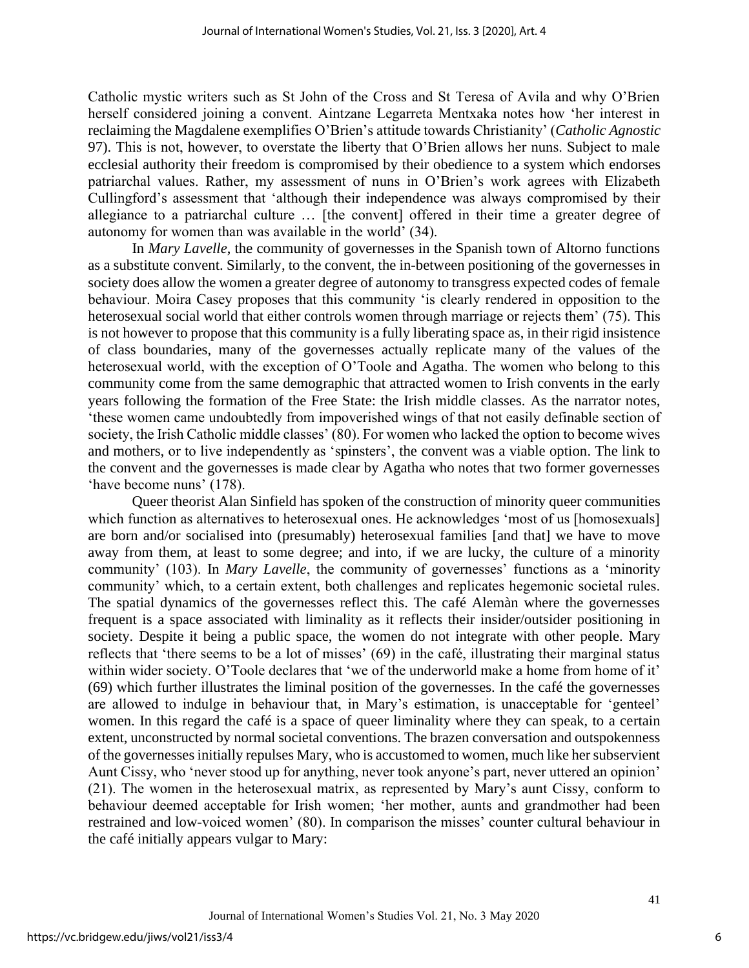Catholic mystic writers such as St John of the Cross and St Teresa of Avila and why O'Brien herself considered joining a convent. Aintzane Legarreta Mentxaka notes how 'her interest in reclaiming the Magdalene exemplifies O'Brien's attitude towards Christianity' (*Catholic Agnostic* 97). This is not, however, to overstate the liberty that O'Brien allows her nuns. Subject to male ecclesial authority their freedom is compromised by their obedience to a system which endorses patriarchal values. Rather, my assessment of nuns in O'Brien's work agrees with Elizabeth Cullingford's assessment that 'although their independence was always compromised by their allegiance to a patriarchal culture … [the convent] offered in their time a greater degree of autonomy for women than was available in the world' (34).

In *Mary Lavelle*, the community of governesses in the Spanish town of Altorno functions as a substitute convent. Similarly, to the convent, the in-between positioning of the governesses in society does allow the women a greater degree of autonomy to transgress expected codes of female behaviour. Moira Casey proposes that this community 'is clearly rendered in opposition to the heterosexual social world that either controls women through marriage or rejects them' (75). This is not however to propose that this community is a fully liberating space as, in their rigid insistence of class boundaries, many of the governesses actually replicate many of the values of the heterosexual world, with the exception of O'Toole and Agatha. The women who belong to this community come from the same demographic that attracted women to Irish convents in the early years following the formation of the Free State: the Irish middle classes. As the narrator notes, 'these women came undoubtedly from impoverished wings of that not easily definable section of society, the Irish Catholic middle classes' (80). For women who lacked the option to become wives and mothers, or to live independently as 'spinsters', the convent was a viable option. The link to the convent and the governesses is made clear by Agatha who notes that two former governesses 'have become nuns' (178).

Queer theorist Alan Sinfield has spoken of the construction of minority queer communities which function as alternatives to heterosexual ones. He acknowledges 'most of us [homosexuals] are born and/or socialised into (presumably) heterosexual families [and that] we have to move away from them, at least to some degree; and into, if we are lucky, the culture of a minority community' (103). In *Mary Lavelle*, the community of governesses' functions as a 'minority community' which, to a certain extent, both challenges and replicates hegemonic societal rules. The spatial dynamics of the governesses reflect this. The café Alemàn where the governesses frequent is a space associated with liminality as it reflects their insider/outsider positioning in society. Despite it being a public space, the women do not integrate with other people. Mary reflects that 'there seems to be a lot of misses' (69) in the café, illustrating their marginal status within wider society. O'Toole declares that 'we of the underworld make a home from home of it' (69) which further illustrates the liminal position of the governesses. In the café the governesses are allowed to indulge in behaviour that, in Mary's estimation, is unacceptable for 'genteel' women. In this regard the café is a space of queer liminality where they can speak, to a certain extent, unconstructed by normal societal conventions. The brazen conversation and outspokenness of the governesses initially repulses Mary, who is accustomed to women, much like her subservient Aunt Cissy, who 'never stood up for anything, never took anyone's part, never uttered an opinion' (21). The women in the heterosexual matrix, as represented by Mary's aunt Cissy, conform to behaviour deemed acceptable for Irish women; 'her mother, aunts and grandmother had been restrained and low-voiced women' (80). In comparison the misses' counter cultural behaviour in the café initially appears vulgar to Mary:

6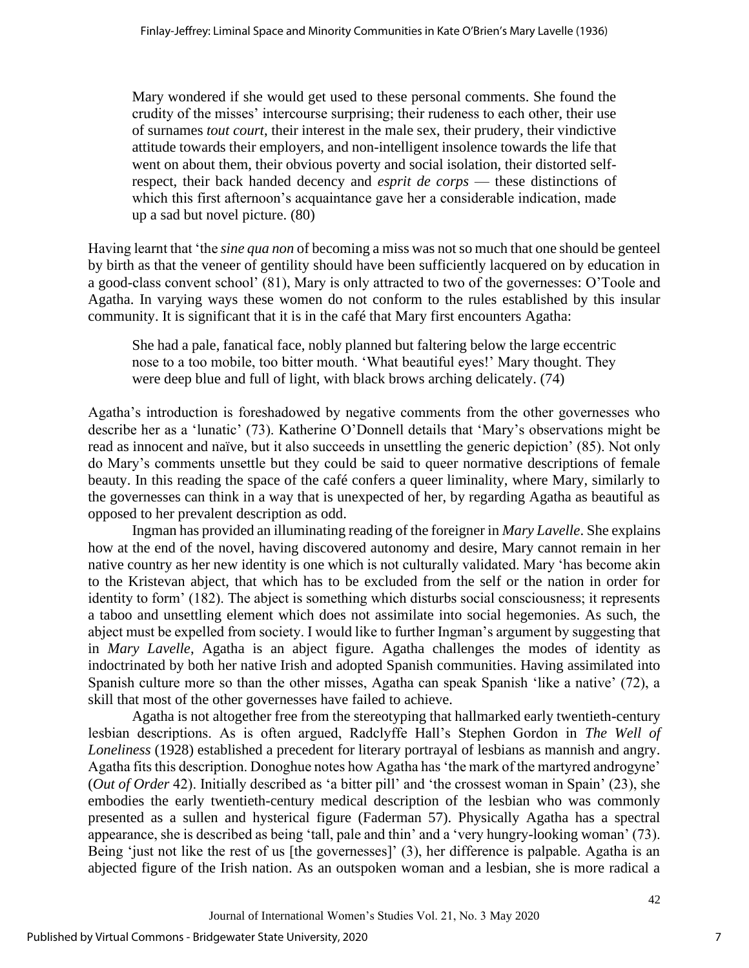Mary wondered if she would get used to these personal comments. She found the crudity of the misses' intercourse surprising; their rudeness to each other, their use of surnames *tout court*, their interest in the male sex, their prudery, their vindictive attitude towards their employers, and non-intelligent insolence towards the life that went on about them, their obvious poverty and social isolation, their distorted selfrespect, their back handed decency and *esprit de corps* — these distinctions of which this first afternoon's acquaintance gave her a considerable indication, made up a sad but novel picture. (80)

Having learnt that 'the *sine qua non* of becoming a miss was not so much that one should be genteel by birth as that the veneer of gentility should have been sufficiently lacquered on by education in a good-class convent school' (81), Mary is only attracted to two of the governesses: O'Toole and Agatha. In varying ways these women do not conform to the rules established by this insular community. It is significant that it is in the café that Mary first encounters Agatha:

She had a pale, fanatical face, nobly planned but faltering below the large eccentric nose to a too mobile, too bitter mouth. 'What beautiful eyes!' Mary thought. They were deep blue and full of light, with black brows arching delicately. (74)

Agatha's introduction is foreshadowed by negative comments from the other governesses who describe her as a 'lunatic' (73). Katherine O'Donnell details that 'Mary's observations might be read as innocent and naïve, but it also succeeds in unsettling the generic depiction' (85). Not only do Mary's comments unsettle but they could be said to queer normative descriptions of female beauty. In this reading the space of the café confers a queer liminality, where Mary, similarly to the governesses can think in a way that is unexpected of her, by regarding Agatha as beautiful as opposed to her prevalent description as odd.

Ingman has provided an illuminating reading of the foreigner in *Mary Lavelle*. She explains how at the end of the novel, having discovered autonomy and desire, Mary cannot remain in her native country as her new identity is one which is not culturally validated. Mary 'has become akin to the Kristevan abject, that which has to be excluded from the self or the nation in order for identity to form' (182). The abject is something which disturbs social consciousness; it represents a taboo and unsettling element which does not assimilate into social hegemonies. As such, the abject must be expelled from society. I would like to further Ingman's argument by suggesting that in *Mary Lavelle*, Agatha is an abject figure. Agatha challenges the modes of identity as indoctrinated by both her native Irish and adopted Spanish communities. Having assimilated into Spanish culture more so than the other misses, Agatha can speak Spanish 'like a native' (72), a skill that most of the other governesses have failed to achieve.

Agatha is not altogether free from the stereotyping that hallmarked early twentieth-century lesbian descriptions. As is often argued, Radclyffe Hall's Stephen Gordon in *The Well of Loneliness* (1928) established a precedent for literary portrayal of lesbians as mannish and angry. Agatha fits this description. Donoghue notes how Agatha has 'the mark of the martyred androgyne' (*Out of Order* 42). Initially described as 'a bitter pill' and 'the crossest woman in Spain' (23), she embodies the early twentieth-century medical description of the lesbian who was commonly presented as a sullen and hysterical figure (Faderman 57). Physically Agatha has a spectral appearance, she is described as being 'tall, pale and thin' and a 'very hungry-looking woman' (73). Being 'just not like the rest of us [the governesses]' (3), her difference is palpable. Agatha is an abjected figure of the Irish nation. As an outspoken woman and a lesbian, she is more radical a

7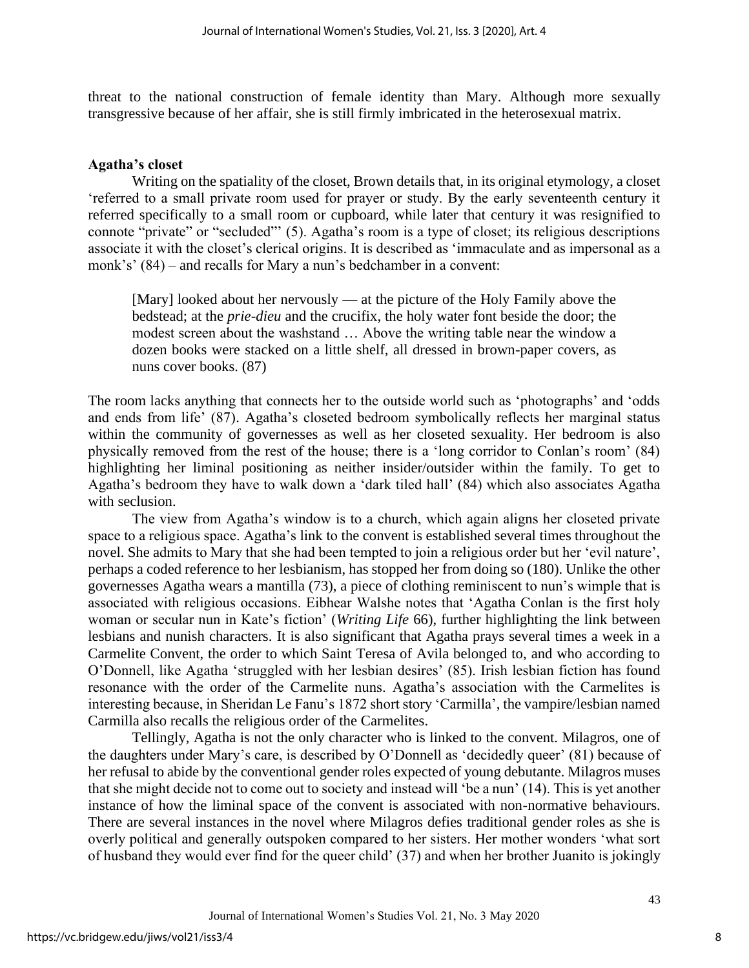threat to the national construction of female identity than Mary. Although more sexually transgressive because of her affair, she is still firmly imbricated in the heterosexual matrix.

#### **Agatha's closet**

Writing on the spatiality of the closet, Brown details that, in its original etymology, a closet 'referred to a small private room used for prayer or study. By the early seventeenth century it referred specifically to a small room or cupboard, while later that century it was resignified to connote "private" or "secluded"' (5). Agatha's room is a type of closet; its religious descriptions associate it with the closet's clerical origins. It is described as 'immaculate and as impersonal as a monk's' (84) – and recalls for Mary a nun's bedchamber in a convent:

[Mary] looked about her nervously — at the picture of the Holy Family above the bedstead; at the *prie-dieu* and the crucifix, the holy water font beside the door; the modest screen about the washstand … Above the writing table near the window a dozen books were stacked on a little shelf, all dressed in brown-paper covers, as nuns cover books. (87)

The room lacks anything that connects her to the outside world such as 'photographs' and 'odds and ends from life' (87). Agatha's closeted bedroom symbolically reflects her marginal status within the community of governesses as well as her closeted sexuality. Her bedroom is also physically removed from the rest of the house; there is a 'long corridor to Conlan's room' (84) highlighting her liminal positioning as neither insider/outsider within the family. To get to Agatha's bedroom they have to walk down a 'dark tiled hall' (84) which also associates Agatha with seclusion.

The view from Agatha's window is to a church, which again aligns her closeted private space to a religious space. Agatha's link to the convent is established several times throughout the novel. She admits to Mary that she had been tempted to join a religious order but her 'evil nature', perhaps a coded reference to her lesbianism, has stopped her from doing so (180). Unlike the other governesses Agatha wears a mantilla (73), a piece of clothing reminiscent to nun's wimple that is associated with religious occasions. Eibhear Walshe notes that 'Agatha Conlan is the first holy woman or secular nun in Kate's fiction' (*Writing Life* 66), further highlighting the link between lesbians and nunish characters. It is also significant that Agatha prays several times a week in a Carmelite Convent, the order to which Saint Teresa of Avila belonged to, and who according to O'Donnell, like Agatha 'struggled with her lesbian desires' (85). Irish lesbian fiction has found resonance with the order of the Carmelite nuns. Agatha's association with the Carmelites is interesting because, in Sheridan Le Fanu's 1872 short story 'Carmilla', the vampire/lesbian named Carmilla also recalls the religious order of the Carmelites.

Tellingly, Agatha is not the only character who is linked to the convent. Milagros, one of the daughters under Mary's care, is described by O'Donnell as 'decidedly queer' (81) because of her refusal to abide by the conventional gender roles expected of young debutante. Milagros muses that she might decide not to come out to society and instead will 'be a nun' (14). This is yet another instance of how the liminal space of the convent is associated with non-normative behaviours. There are several instances in the novel where Milagros defies traditional gender roles as she is overly political and generally outspoken compared to her sisters. Her mother wonders 'what sort of husband they would ever find for the queer child' (37) and when her brother Juanito is jokingly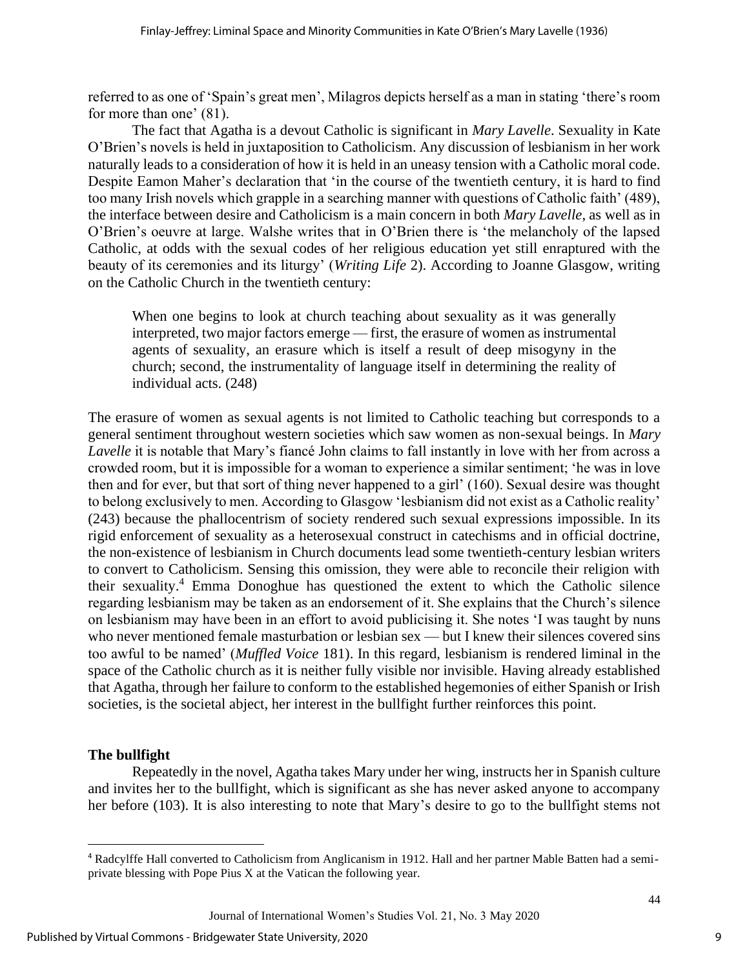referred to as one of 'Spain's great men', Milagros depicts herself as a man in stating 'there's room for more than one' (81).

The fact that Agatha is a devout Catholic is significant in *Mary Lavelle*. Sexuality in Kate O'Brien's novels is held in juxtaposition to Catholicism. Any discussion of lesbianism in her work naturally leads to a consideration of how it is held in an uneasy tension with a Catholic moral code. Despite Eamon Maher's declaration that 'in the course of the twentieth century, it is hard to find too many Irish novels which grapple in a searching manner with questions of Catholic faith' (489), the interface between desire and Catholicism is a main concern in both *Mary Lavelle*, as well as in O'Brien's oeuvre at large. Walshe writes that in O'Brien there is 'the melancholy of the lapsed Catholic, at odds with the sexual codes of her religious education yet still enraptured with the beauty of its ceremonies and its liturgy' (*Writing Life* 2). According to Joanne Glasgow, writing on the Catholic Church in the twentieth century:

When one begins to look at church teaching about sexuality as it was generally interpreted, two major factors emerge — first, the erasure of women as instrumental agents of sexuality, an erasure which is itself a result of deep misogyny in the church; second, the instrumentality of language itself in determining the reality of individual acts. (248)

The erasure of women as sexual agents is not limited to Catholic teaching but corresponds to a general sentiment throughout western societies which saw women as non-sexual beings. In *Mary Lavelle* it is notable that Mary's fiance John claims to fall instantly in love with her from across a crowded room, but it is impossible for a woman to experience a similar sentiment; 'he was in love then and for ever, but that sort of thing never happened to a girl' (160). Sexual desire was thought to belong exclusively to men. According to Glasgow 'lesbianism did not exist as a Catholic reality' (243) because the phallocentrism of society rendered such sexual expressions impossible. In its rigid enforcement of sexuality as a heterosexual construct in catechisms and in official doctrine, the non-existence of lesbianism in Church documents lead some twentieth-century lesbian writers to convert to Catholicism. Sensing this omission, they were able to reconcile their religion with their sexuality.<sup>4</sup> Emma Donoghue has questioned the extent to which the Catholic silence regarding lesbianism may be taken as an endorsement of it. She explains that the Church's silence on lesbianism may have been in an effort to avoid publicising it. She notes 'I was taught by nuns who never mentioned female masturbation or lesbian sex — but I knew their silences covered sins too awful to be named' (*Muffled Voice* 181). In this regard, lesbianism is rendered liminal in the space of the Catholic church as it is neither fully visible nor invisible. Having already established that Agatha, through her failure to conform to the established hegemonies of either Spanish or Irish societies, is the societal abject, her interest in the bullfight further reinforces this point.

# **The bullfight**

Repeatedly in the novel, Agatha takes Mary under her wing, instructs her in Spanish culture and invites her to the bullfight, which is significant as she has never asked anyone to accompany her before (103). It is also interesting to note that Mary's desire to go to the bullfight stems not

9

<sup>4</sup> Radcylffe Hall converted to Catholicism from Anglicanism in 1912. Hall and her partner Mable Batten had a semiprivate blessing with Pope Pius X at the Vatican the following year.

Journal of International Women's Studies Vol. 21, No. 3 May 2020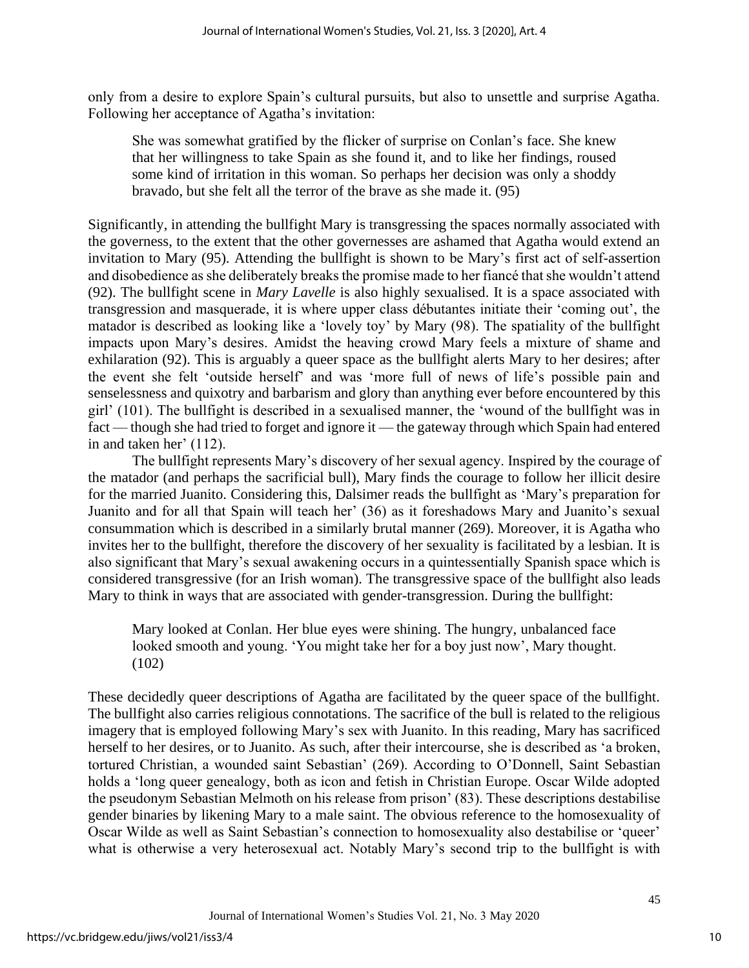only from a desire to explore Spain's cultural pursuits, but also to unsettle and surprise Agatha. Following her acceptance of Agatha's invitation:

She was somewhat gratified by the flicker of surprise on Conlan's face. She knew that her willingness to take Spain as she found it, and to like her findings, roused some kind of irritation in this woman. So perhaps her decision was only a shoddy bravado, but she felt all the terror of the brave as she made it. (95)

Significantly, in attending the bullfight Mary is transgressing the spaces normally associated with the governess, to the extent that the other governesses are ashamed that Agatha would extend an invitation to Mary (95). Attending the bullfight is shown to be Mary's first act of self-assertion and disobedience as she deliberately breaks the promise made to her fiancé that she wouldn't attend (92). The bullfight scene in *Mary Lavelle* is also highly sexualised. It is a space associated with transgression and masquerade, it is where upper class débutantes initiate their 'coming out', the matador is described as looking like a 'lovely toy' by Mary (98). The spatiality of the bullfight impacts upon Mary's desires. Amidst the heaving crowd Mary feels a mixture of shame and exhilaration (92). This is arguably a queer space as the bullfight alerts Mary to her desires; after the event she felt 'outside herself' and was 'more full of news of life's possible pain and senselessness and quixotry and barbarism and glory than anything ever before encountered by this girl' (101). The bullfight is described in a sexualised manner, the 'wound of the bullfight was in fact — though she had tried to forget and ignore it — the gateway through which Spain had entered in and taken her' (112).

The bullfight represents Mary's discovery of her sexual agency. Inspired by the courage of the matador (and perhaps the sacrificial bull), Mary finds the courage to follow her illicit desire for the married Juanito. Considering this, Dalsimer reads the bullfight as 'Mary's preparation for Juanito and for all that Spain will teach her' (36) as it foreshadows Mary and Juanito's sexual consummation which is described in a similarly brutal manner (269). Moreover, it is Agatha who invites her to the bullfight, therefore the discovery of her sexuality is facilitated by a lesbian. It is also significant that Mary's sexual awakening occurs in a quintessentially Spanish space which is considered transgressive (for an Irish woman). The transgressive space of the bullfight also leads Mary to think in ways that are associated with gender-transgression. During the bullfight:

Mary looked at Conlan. Her blue eyes were shining. The hungry, unbalanced face looked smooth and young. 'You might take her for a boy just now', Mary thought. (102)

These decidedly queer descriptions of Agatha are facilitated by the queer space of the bullfight. The bullfight also carries religious connotations. The sacrifice of the bull is related to the religious imagery that is employed following Mary's sex with Juanito. In this reading, Mary has sacrificed herself to her desires, or to Juanito. As such, after their intercourse, she is described as 'a broken, tortured Christian, a wounded saint Sebastian' (269). According to O'Donnell, Saint Sebastian holds a 'long queer genealogy, both as icon and fetish in Christian Europe. Oscar Wilde adopted the pseudonym Sebastian Melmoth on his release from prison' (83). These descriptions destabilise gender binaries by likening Mary to a male saint. The obvious reference to the homosexuality of Oscar Wilde as well as Saint Sebastian's connection to homosexuality also destabilise or 'queer' what is otherwise a very heterosexual act. Notably Mary's second trip to the bullfight is with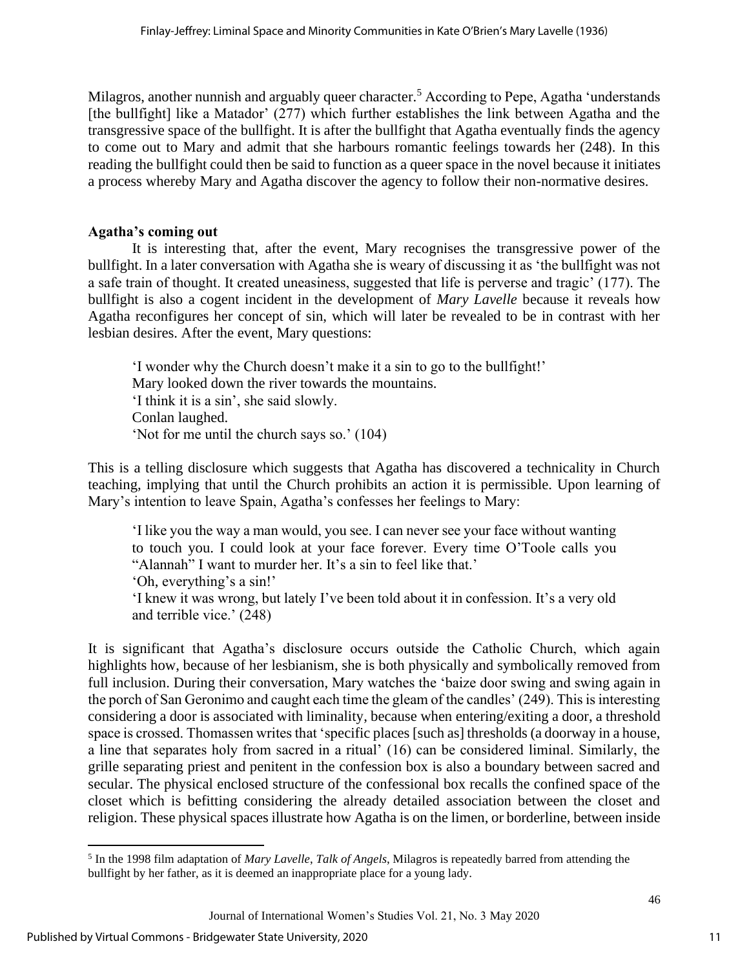Milagros, another nunnish and arguably queer character.<sup>5</sup> According to Pepe, Agatha 'understands' [the bullfight] like a Matador' (277) which further establishes the link between Agatha and the transgressive space of the bullfight. It is after the bullfight that Agatha eventually finds the agency to come out to Mary and admit that she harbours romantic feelings towards her (248). In this reading the bullfight could then be said to function as a queer space in the novel because it initiates a process whereby Mary and Agatha discover the agency to follow their non-normative desires.

### **Agatha's coming out**

It is interesting that, after the event, Mary recognises the transgressive power of the bullfight. In a later conversation with Agatha she is weary of discussing it as 'the bullfight was not a safe train of thought. It created uneasiness, suggested that life is perverse and tragic' (177). The bullfight is also a cogent incident in the development of *Mary Lavelle* because it reveals how Agatha reconfigures her concept of sin, which will later be revealed to be in contrast with her lesbian desires. After the event, Mary questions:

'I wonder why the Church doesn't make it a sin to go to the bullfight!' Mary looked down the river towards the mountains. 'I think it is a sin', she said slowly. Conlan laughed. 'Not for me until the church says so.' (104)

This is a telling disclosure which suggests that Agatha has discovered a technicality in Church teaching, implying that until the Church prohibits an action it is permissible. Upon learning of Mary's intention to leave Spain, Agatha's confesses her feelings to Mary:

'I like you the way a man would, you see. I can never see your face without wanting to touch you. I could look at your face forever. Every time O'Toole calls you "Alannah" I want to murder her. It's a sin to feel like that.' 'Oh, everything's a sin!'

'I knew it was wrong, but lately I've been told about it in confession. It's a very old and terrible vice.' (248)

It is significant that Agatha's disclosure occurs outside the Catholic Church, which again highlights how, because of her lesbianism, she is both physically and symbolically removed from full inclusion. During their conversation, Mary watches the 'baize door swing and swing again in the porch of San Geronimo and caught each time the gleam of the candles' (249). This is interesting considering a door is associated with liminality, because when entering/exiting a door, a threshold space is crossed. Thomassen writes that 'specific places [such as] thresholds (a doorway in a house, a line that separates holy from sacred in a ritual' (16) can be considered liminal. Similarly, the grille separating priest and penitent in the confession box is also a boundary between sacred and secular. The physical enclosed structure of the confessional box recalls the confined space of the closet which is befitting considering the already detailed association between the closet and religion. These physical spaces illustrate how Agatha is on the limen, or borderline, between inside

11

<sup>5</sup> In the 1998 film adaptation of *Mary Lavelle*, *Talk of Angels*, Milagros is repeatedly barred from attending the bullfight by her father, as it is deemed an inappropriate place for a young lady.

Journal of International Women's Studies Vol. 21, No. 3 May 2020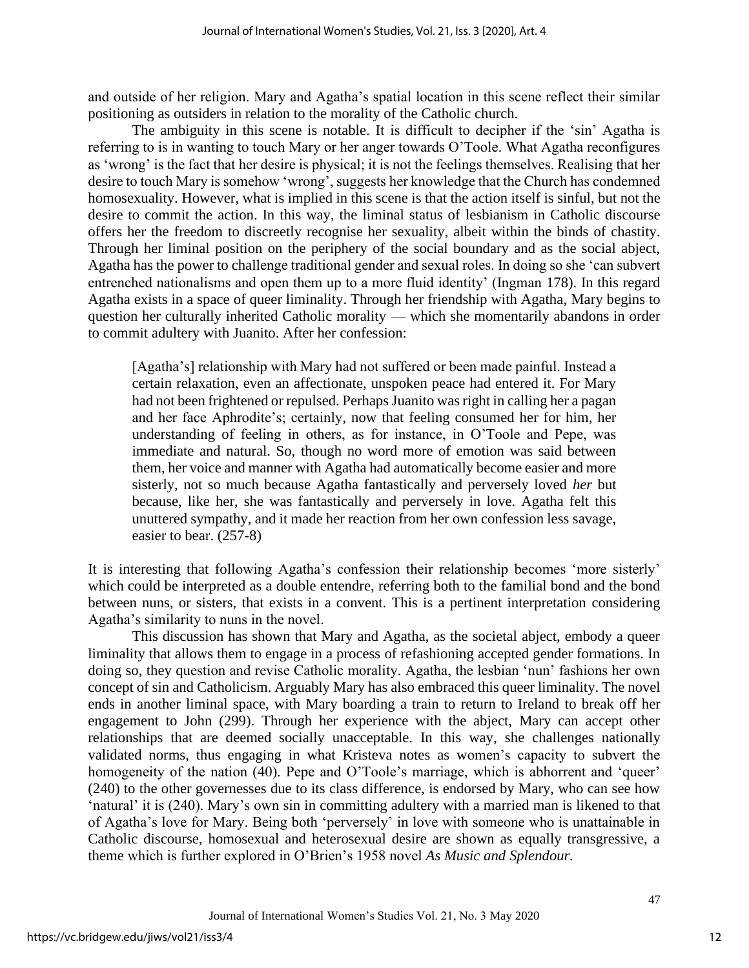and outside of her religion. Mary and Agatha's spatial location in this scene reflect their similar positioning as outsiders in relation to the morality of the Catholic church.

The ambiguity in this scene is notable. It is difficult to decipher if the 'sin' Agatha is referring to is in wanting to touch Mary or her anger towards O'Toole. What Agatha reconfigures as 'wrong' is the fact that her desire is physical; it is not the feelings themselves. Realising that her desire to touch Mary is somehow 'wrong', suggests her knowledge that the Church has condemned homosexuality. However, what is implied in this scene is that the action itself is sinful, but not the desire to commit the action. In this way, the liminal status of lesbianism in Catholic discourse offers her the freedom to discreetly recognise her sexuality, albeit within the binds of chastity. Through her liminal position on the periphery of the social boundary and as the social abject, Agatha has the power to challenge traditional gender and sexual roles. In doing so she 'can subvert entrenched nationalisms and open them up to a more fluid identity' (Ingman 178). In this regard Agatha exists in a space of queer liminality. Through her friendship with Agatha, Mary begins to question her culturally inherited Catholic morality — which she momentarily abandons in order to commit adultery with Juanito. After her confession:

[Agatha's] relationship with Mary had not suffered or been made painful. Instead a certain relaxation, even an affectionate, unspoken peace had entered it. For Mary had not been frightened or repulsed. Perhaps Juanito was right in calling her a pagan and her face Aphrodite's; certainly, now that feeling consumed her for him, her understanding of feeling in others, as for instance, in O'Toole and Pepe, was immediate and natural. So, though no word more of emotion was said between them, her voice and manner with Agatha had automatically become easier and more sisterly, not so much because Agatha fantastically and perversely loved *her* but because, like her, she was fantastically and perversely in love. Agatha felt this unuttered sympathy, and it made her reaction from her own confession less savage, easier to bear. (257-8)

It is interesting that following Agatha's confession their relationship becomes 'more sisterly' which could be interpreted as a double entendre, referring both to the familial bond and the bond between nuns, or sisters, that exists in a convent. This is a pertinent interpretation considering Agatha's similarity to nuns in the novel.

This discussion has shown that Mary and Agatha, as the societal abject, embody a queer liminality that allows them to engage in a process of refashioning accepted gender formations. In doing so, they question and revise Catholic morality. Agatha, the lesbian 'nun' fashions her own concept of sin and Catholicism. Arguably Mary has also embraced this queer liminality. The novel ends in another liminal space, with Mary boarding a train to return to Ireland to break off her engagement to John (299). Through her experience with the abject, Mary can accept other relationships that are deemed socially unacceptable. In this way, she challenges nationally validated norms, thus engaging in what Kristeva notes as women's capacity to subvert the homogeneity of the nation (40). Pepe and O'Toole's marriage, which is abhorrent and 'queer' (240) to the other governesses due to its class difference, is endorsed by Mary, who can see how 'natural' it is (240). Mary's own sin in committing adultery with a married man is likened to that of Agatha's love for Mary. Being both 'perversely' in love with someone who is unattainable in Catholic discourse, homosexual and heterosexual desire are shown as equally transgressive, a theme which is further explored in O'Brien's 1958 novel *As Music and Splendour.*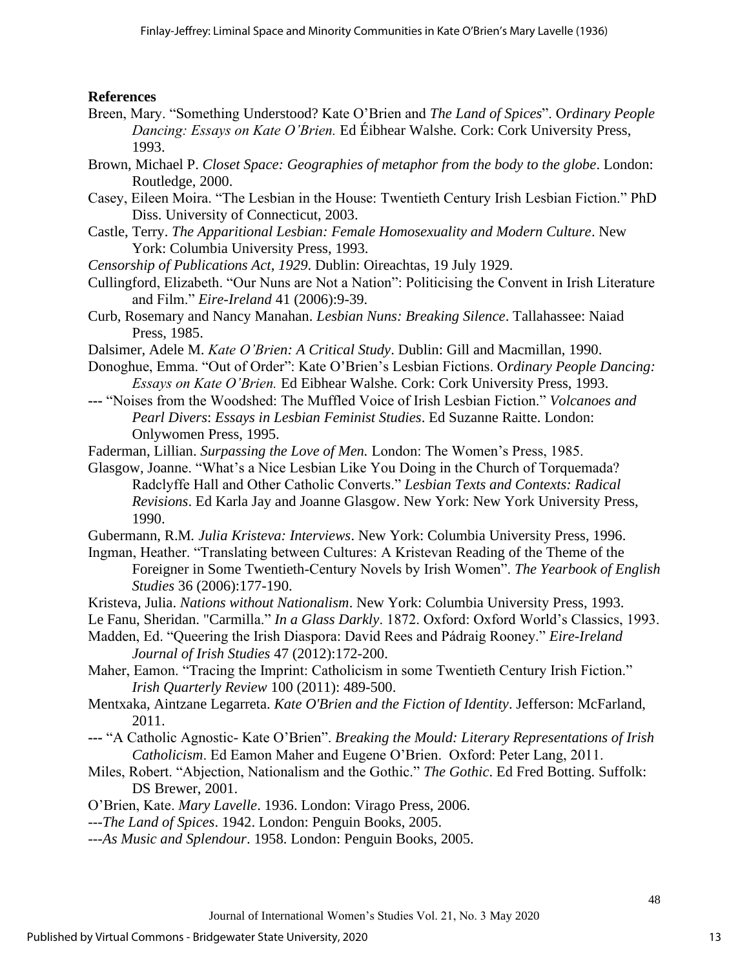# **References**

- Breen, Mary. "Something Understood? Kate O'Brien and *The Land of Spices*". O*rdinary People Dancing: Essays on Kate O'Brien.* Ed Éibhear Walshe*.* Cork: Cork University Press, 1993.
- Brown, Michael P. *Closet Space: Geographies of metaphor from the body to the globe*. London: Routledge, 2000.
- Casey, Eileen Moira. "The Lesbian in the House: Twentieth Century Irish Lesbian Fiction." PhD Diss. University of Connecticut, 2003.
- Castle, Terry. *The Apparitional Lesbian: Female Homosexuality and Modern Culture*. New York: Columbia University Press, 1993.
- *Censorship of Publications Act*, *1929*. Dublin: Oireachtas, 19 July 1929.
- Cullingford, Elizabeth. "Our Nuns are Not a Nation": Politicising the Convent in Irish Literature and Film." *Eire-Ireland* 41 (2006):9-39.
- Curb, Rosemary and Nancy Manahan. *Lesbian Nuns: Breaking Silence*. Tallahassee: Naiad Press, 1985.
- Dalsimer, Adele M. *Kate O'Brien: A Critical Study*. Dublin: Gill and Macmillan, 1990.
- Donoghue, Emma. "Out of Order": Kate O'Brien's Lesbian Fictions. O*rdinary People Dancing: Essays on Kate O'Brien.* Ed Eibhear Walshe*.* Cork: Cork University Press, 1993.
- **---** "Noises from the Woodshed: The Muffled Voice of Irish Lesbian Fiction." *Volcanoes and Pearl Divers*: *Essays in Lesbian Feminist Studies*. Ed Suzanne Raitte. London: Onlywomen Press, 1995.
- Faderman, Lillian. *Surpassing the Love of Men.* London: The Women's Press, 1985.
- Glasgow, Joanne. "What's a Nice Lesbian Like You Doing in the Church of Torquemada? Radclyffe Hall and Other Catholic Converts." *Lesbian Texts and Contexts: Radical Revisions*. Ed Karla Jay and Joanne Glasgow. New York: New York University Press, 1990.
- Gubermann, R.M*. Julia Kristeva: Interviews*. New York: Columbia University Press, 1996.
- Ingman, Heather. "Translating between Cultures: A Kristevan Reading of the Theme of the Foreigner in Some Twentieth-Century Novels by Irish Women". *The Yearbook of English Studies* 36 (2006):177-190.
- Kristeva, Julia. *Nations without Nationalism*. New York: Columbia University Press, 1993.
- Le Fanu, Sheridan. "Carmilla." *In a Glass Darkly*. 1872. Oxford: Oxford World's Classics, 1993.
- Madden, Ed. "Queering the Irish Diaspora: David Rees and Pádraig Rooney." *Eire-Ireland Journal of Irish Studies* 47 (2012):172-200.
- Maher, Eamon. "Tracing the Imprint: Catholicism in some Twentieth Century Irish Fiction." *Irish Quarterly Review* 100 (2011): 489-500.
- Mentxaka, Aintzane Legarreta. *Kate O'Brien and the Fiction of Identity*. Jefferson: McFarland, 2011.
- **---** "A Catholic Agnostic- Kate O'Brien". *Breaking the Mould: Literary Representations of Irish Catholicism*. Ed Eamon Maher and Eugene O'Brien. Oxford: Peter Lang, 2011.
- Miles, Robert. "Abjection, Nationalism and the Gothic." *The Gothic*. Ed Fred Botting. Suffolk: DS Brewer, 2001.
- O'Brien, Kate. *Mary Lavelle*. 1936. London: Virago Press, 2006.
- ---*The Land of Spices*. 1942. London: Penguin Books, 2005.
- ---*As Music and Splendour*. 1958. London: Penguin Books, 2005.